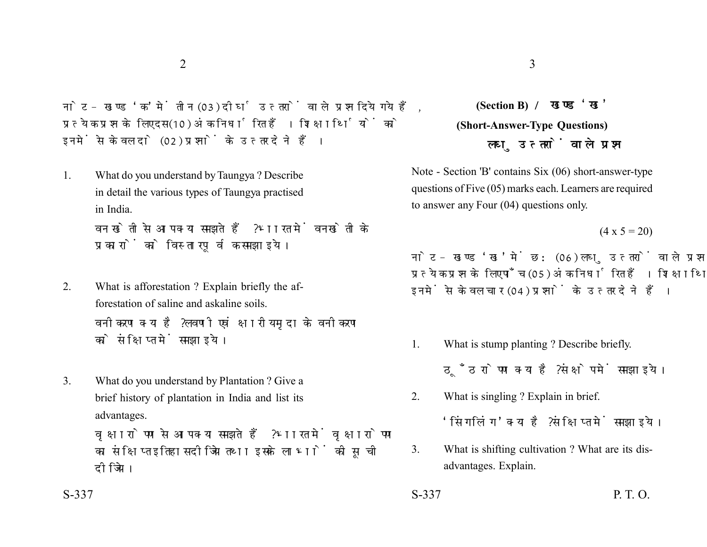नोट- खण्ड 'क' में तीन (03) दीर्घ उत्तरों वाले प्रश्न दिये गये हैं. प्रत्येक प्रश्न के लिए दस (10) अंक निर्धारित हैं। शिक्षार्थियों को इनमें से केवल दो (02) प्रश्नों के उत्तर देने हैं।

1. What do you understand by Taungya ? Describe in detail the various types of Taungya practised in India. वन खेती से आप क्या समझते हैं ? भारत में वनखेती के

प्रकारों को विस्तारपूर्वक समझाइये।

- 2. What is afforestation ? Explain briefly the afforestation of saline and askaline soils. वनीकरण क्या है ? लवणी एवं क्षारीय मृदा के वनीकरण को संक्षिप्त में समझाइये।
- 3. What do you understand by Plantation ? Give a brief history of plantation in India and list its advantages.

वृक्षारोपण से आप क्या समझते हैं ? भारत में वृक्षारोपण का संक्षिप्त इतिहास दीजिये तथा इसके लाभों की सूची दीजिये।

## **(Section B) (Short-Answer-Type Questions)** लघ उत्तरों वाले प्रश्न

Note - Section 'B' contains Six (06) short-answer-type questions of Five (05) marks each. Learners are required to answer any Four (04) questions only.

 $(4 \times 5 = 20)$ 

नोट- खण्ड 'ख' में छ: (06) लघु उत्तरों वाले प्रश्न दिये गये हैं, प्रत्येक प्रश्न के लिए पाँच (05) अंक निर्धारित हैं। शिक्षार्थियों को इनमें से केवल चार (04) प्रश्नों के उत्तर देने हैं।

- 1. What is stump planting ? Describe briefly. ठँठ रोपण क्या है ? संक्षेप में समझाइये।
- 2. What is singling ? Explain in brief.

'सिंगलिंग' क्या है ? संक्षिप्त में समझाइये।

- 3. What is shifting cultivation ? What are its disadvantages. Explain.
- $S-337$  P. T. O.